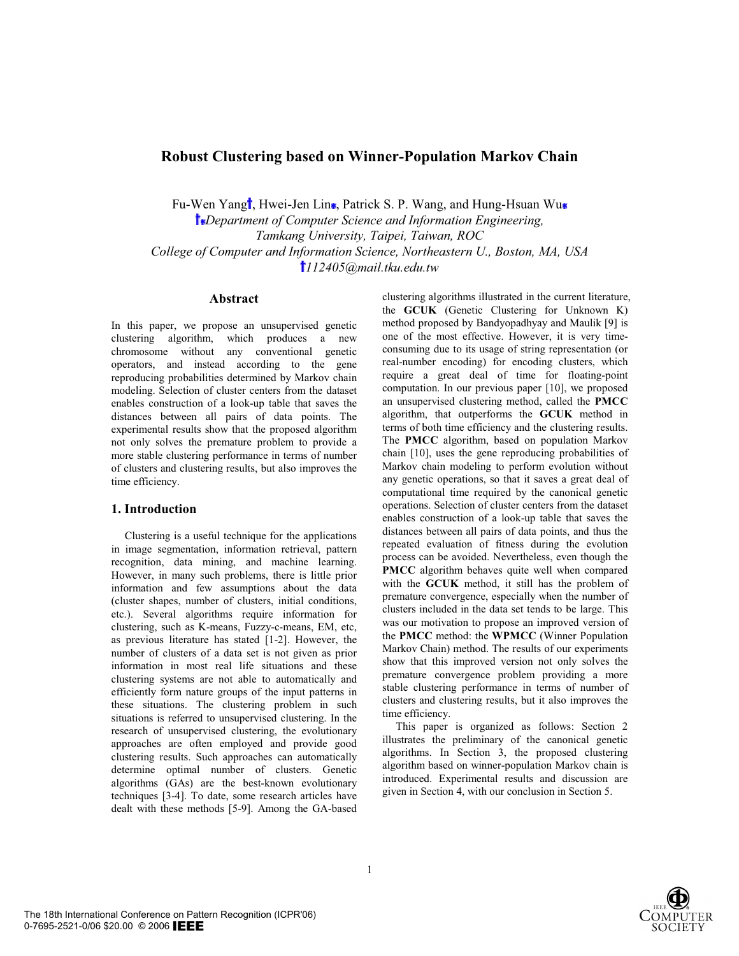# **Robust Clustering based on Winner-Population Markov Chain**

Fu-Wen Yang<sup>†</sup>, Hwei-Jen Lin•, Patrick S. P. Wang, and Hung-Hsuan Wu•

*Department of Computer Science and Information Engineering, Tamkang University, Taipei, Taiwan, ROC College of Computer and Information Science, Northeastern U., Boston, MA, USA 112405@mail.tku.edu.tw*

### **Abstract**

In this paper, we propose an unsupervised genetic clustering algorithm, which produces a new chromosome without any conventional genetic operators, and instead according to the gene reproducing probabilities determined by Markov chain modeling. Selection of cluster centers from the dataset enables construction of a look-up table that saves the distances between all pairs of data points. The experimental results show that the proposed algorithm not only solves the premature problem to provide a more stable clustering performance in terms of number of clusters and clustering results, but also improves the time efficiency.

### **1. Introduction**

Clustering is a useful technique for the applications in image segmentation, information retrieval, pattern recognition, data mining, and machine learning. However, in many such problems, there is little prior information and few assumptions about the data (cluster shapes, number of clusters, initial conditions, etc.). Several algorithms require information for clustering, such as K-means, Fuzzy-c-means, EM, etc, as previous literature has stated [1-2]. However, the number of clusters of a data set is not given as prior information in most real life situations and these clustering systems are not able to automatically and efficiently form nature groups of the input patterns in these situations. The clustering problem in such situations is referred to unsupervised clustering. In the research of unsupervised clustering, the evolutionary approaches are often employed and provide good clustering results. Such approaches can automatically determine optimal number of clusters. Genetic algorithms (GAs) are the best-known evolutionary techniques [3-4]. To date, some research articles have dealt with these methods [5-9]. Among the GA-based clustering algorithms illustrated in the current literature, the **GCUK** (Genetic Clustering for Unknown K) method proposed by Bandyopadhyay and Maulik [9] is one of the most effective. However, it is very timeconsuming due to its usage of string representation (or real-number encoding) for encoding clusters, which require a great deal of time for floating-point computation. In our previous paper [10], we proposed an unsupervised clustering method, called the **PMCC** algorithm, that outperforms the **GCUK** method in terms of both time efficiency and the clustering results. The **PMCC** algorithm, based on population Markov chain [10], uses the gene reproducing probabilities of Markov chain modeling to perform evolution without any genetic operations, so that it saves a great deal of computational time required by the canonical genetic operations. Selection of cluster centers from the dataset enables construction of a look-up table that saves the distances between all pairs of data points, and thus the repeated evaluation of fitness during the evolution process can be avoided. Nevertheless, even though the **PMCC** algorithm behaves quite well when compared with the **GCUK** method, it still has the problem of premature convergence, especially when the number of clusters included in the data set tends to be large. This was our motivation to propose an improved version of the **PMCC** method: the **WPMCC** (Winner Population Markov Chain) method. The results of our experiments show that this improved version not only solves the premature convergence problem providing a more stable clustering performance in terms of number of clusters and clustering results, but it also improves the time efficiency.

This paper is organized as follows: Section 2 illustrates the preliminary of the canonical genetic algorithms. In Section 3, the proposed clustering algorithm based on winner-population Markov chain is introduced. Experimental results and discussion are given in Section 4, with our conclusion in Section 5.

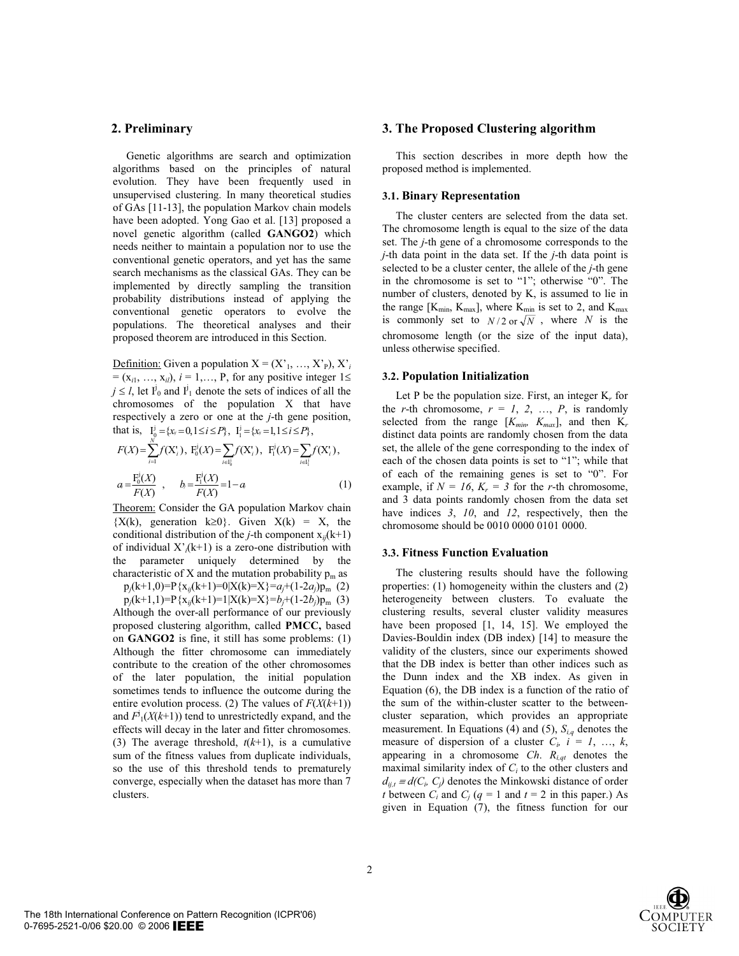## **2. Preliminary**

Genetic algorithms are search and optimization algorithms based on the principles of natural evolution. They have been frequently used in unsupervised clustering. In many theoretical studies of GAs [11-13], the population Markov chain models have been adopted. Yong Gao et al. [13] proposed a novel genetic algorithm (called **GANGO2**) which needs neither to maintain a population nor to use the conventional genetic operators, and yet has the same search mechanisms as the classical GAs. They can be implemented by directly sampling the transition probability distributions instead of applying the conventional genetic operators to evolve the populations. The theoretical analyses and their proposed theorem are introduced in this Section.

Definition: Given a population  $X = (X'_{1}, ..., X'_{P}), X'_{i}$  $= (x_{i1}, ..., x_{i}), i = 1, ..., P$ , for any positive integer  $1 \leq$  $j \leq l$ , let  $I_0^j$  and  $I_1^j$  denote the sets of indices of all the chromosomes of the population X that have respectively a zero or one at the *j*-th gene position, that is,  $I_0^j = \{x_{ij} = 0, 1 \le i \le P\}$ ,  $I_1^j = \{x_{ij} = 1, 1 \le i \le P\}$ ,

$$
F(X) = \sum_{i=1}^{N} f(X'_i), \ F_0^i(X) = \sum_{i \in I_0^i} f(X'_i), \ F_1^i(X) = \sum_{i \in I_1^i} f(X'_i),
$$
  

$$
a = \frac{F_0^i(X)}{F(X)}, \quad b = \frac{F_1^i(X)}{F(X)} = 1 - a
$$
 (1)

Theorem: Consider the GA population Markov chain  ${X(k)}$ , generation  $k\geq 0$ . Given  $X(k) = X$ , the conditional distribution of the *j*-th component  $x_{ii}(k+1)$ of individual  $X<sub>i</sub>(k+1)$  is a zero-one distribution with the parameter uniquely determined by the characteristic of X and the mutation probability  $p_m$  as

 $p_j(k+1,0)=P\{x_{ij}(k+1)=0|X(k)=X\}=a_j+(1-2a_j)p_m$  (2)  $p_j(k+1,1)=P\{x_{ij}(k+1)=1|X(k)=X\}=b_j+(1-2b_j)p_m$  (3) Although the over-all performance of our previously proposed clustering algorithm, called **PMCC,** based on **GANGO2** is fine, it still has some problems: (1) Although the fitter chromosome can immediately contribute to the creation of the other chromosomes of the later population, the initial population sometimes tends to influence the outcome during the entire evolution process. (2) The values of  $F(X(k+1))$ and  $F^j_1(X(k+1))$  tend to unrestrictedly expand, and the effects will decay in the later and fitter chromosomes. (3) The average threshold,  $t(k+1)$ , is a cumulative sum of the fitness values from duplicate individuals, so the use of this threshold tends to prematurely converge, especially when the dataset has more than 7 clusters.

### **3. The Proposed Clustering algorithm**

This section describes in more depth how the proposed method is implemented.

#### **3.1. Binary Representation**

The cluster centers are selected from the data set. The chromosome length is equal to the size of the data set. The *j*-th gene of a chromosome corresponds to the *j*-th data point in the data set. If the *j*-th data point is selected to be a cluster center, the allele of the *j*-th gene in the chromosome is set to "1"; otherwise "0". The number of clusters, denoted by K, is assumed to lie in the range  $[K_{min}, K_{max}]$ , where  $K_{min}$  is set to 2, and  $K_{max}$ is commonly set to  $N/2$  or  $\sqrt{N}$ , where *N* is the chromosome length (or the size of the input data), unless otherwise specified.

#### **3.2. Population Initialization**

Let P be the population size. First, an integer K<sub>r</sub> for the *r*-th chromosome,  $r = 1, 2, ..., P$ , is randomly selected from the range  $[K_{min}, K_{max}]$ , and then  $K_r$ distinct data points are randomly chosen from the data set, the allele of the gene corresponding to the index of each of the chosen data points is set to "1"; while that of each of the remaining genes is set to "0". For example, if  $N = 16$ ,  $K_r = 3$  for the *r*-th chromosome, and 3 data points randomly chosen from the data set have indices *3*, *10*, and *12*, respectively, then the chromosome should be 0010 0000 0101 0000.

#### **3.3. Fitness Function Evaluation**

The clustering results should have the following properties: (1) homogeneity within the clusters and (2) heterogeneity between clusters. To evaluate the clustering results, several cluster validity measures have been proposed [1, 14, 15]. We employed the Davies-Bouldin index (DB index) [14] to measure the validity of the clusters, since our experiments showed that the DB index is better than other indices such as the Dunn index and the XB index. As given in Equation (6), the DB index is a function of the ratio of the sum of the within-cluster scatter to the betweencluster separation, which provides an appropriate measurement. In Equations (4) and (5),  $S_{i,q}$  denotes the measure of dispersion of a cluster  $C_i$ ,  $i = 1, \ldots, k$ , appearing in a chromosome *Ch*. *Ri,qt* denotes the maximal similarity index of  $C<sub>i</sub>$  to the other clusters and  $d_{ij,t} \equiv d(C_i, C_j)$  denotes the Minkowski distance of order *t* between  $C_i$  and  $C_j$  ( $q = 1$  and  $t = 2$  in this paper.) As given in Equation (7), the fitness function for our

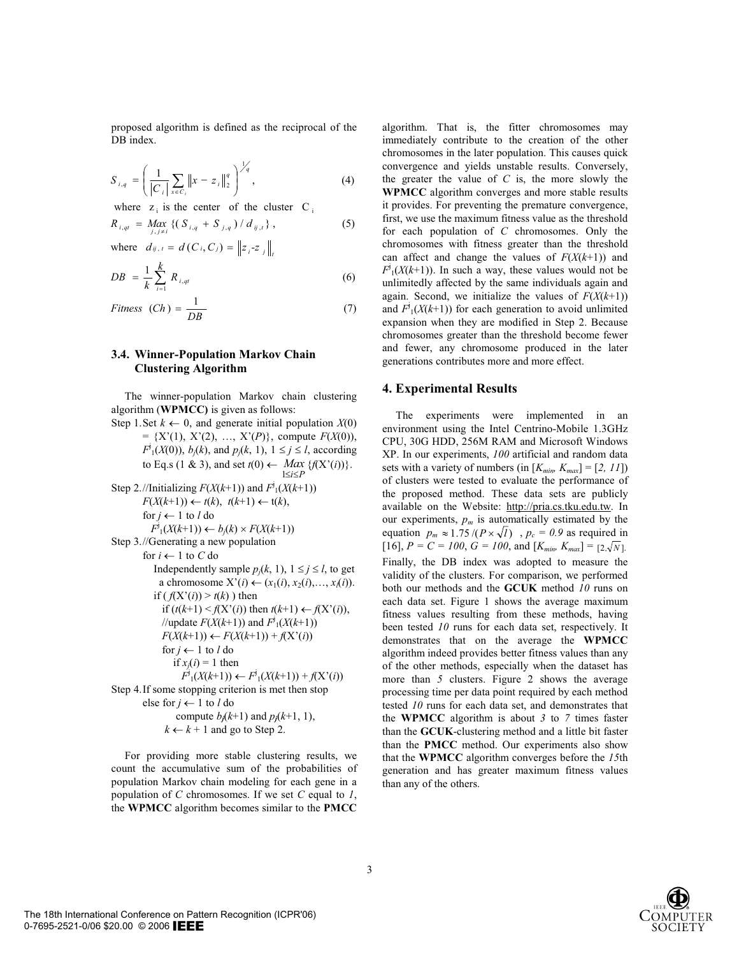proposed algorithm is defined as the reciprocal of the DB index.

$$
S_{i,q} = \left(\frac{1}{|C_i|} \sum_{x \in C_i} ||x - z_i||_2^q\right)^{\frac{1}{q}},
$$
\n(4)

where  $z_i$  is the center of the cluster C<sub>i</sub>

$$
R_{i,qt} = \underset{j,j \neq i}{\text{Max}} \left\{ \left( \, S_{i,q} \, + \, S_{j,q} \, \right) / \, d_{ij,t} \, \right\},\tag{5}
$$

where  $d_{ij, t} = d(C_i, C_j) = ||z_i - z_j||_t$ 

$$
DB = \frac{1}{k} \sum_{i=1}^{k} R_{i,qt} \tag{6}
$$

$$
Fitness (Ch) = \frac{1}{DB}
$$
 (7)

## **3.4. Winner-Population Markov Chain Clustering Algorithm**

The winner-population Markov chain clustering algorithm (**WPMCC)** is given as follows:

Step 1. Set  $k \leftarrow 0$ , and generate initial population *X*(0)  $= \{X'(1), X'(2), ..., X'(P)\},$  compute  $F(X(0)),$  $F^j_1(X(0))$ ,  $b_j(k)$ , and  $p_j(k, 1)$ ,  $1 \le j \le l$ , according to Eq.s (1 & 3), and set  $t(0) \leftarrow \text{Max } \{f(X'(i))\}.$ 

Step 2.//Initially 
$$
F(X(k+1))
$$
 and  $F^i_1(X(k+1))$   
\n $F(X(k+1)) \leftarrow t(k), t(k+1) \leftarrow t(k),$   
\nfor  $j \leftarrow 1$  to  $l$  do  
\n $F^i_1(X(k+1)) \leftarrow b_j(k) \times F(X(k+1))$   
\nStep 3.//Generating a new population  
\nfor  $i \leftarrow 1$  to  $C$  do  
\nIndependently sample  $p_j(k, 1), 1 \leq j \leq l$ , to get  
\na chromosome  $X^*(i) \leftarrow (x_1(i), x_2(i), ..., x_i(i))$ .  
\nif  $(f(X^*(i)) > t(k))$  then  
\nif  $(t(k+1) < f(X^*(i))$  then  $t(k+1) \leftarrow f(X^*(i))$ ,  
\n//update  $F(X(k+1))$  and  $F^i_1(X(k+1))$   
\n $F(X(k+1)) \leftarrow F(X(k+1)) + f(X^*(i))$   
\nfor  $j \leftarrow 1$  to  $l$  do  
\nif  $x_j(i) = 1$  then  
\n $F^i_1(X(k+1)) \leftarrow F^i_1(X(k+1)) + f(X^*(i))$   
\nStep 4. If some stopping criterion is met then stop  
\nelse for  $j \leftarrow 1$  to  $l$  do  
\ncompute  $b_j(k+1)$  and  $p_j(k+1, 1)$ ,  
\n $k \leftarrow k + 1$  and go to Step 2.

For providing more stable clustering results, we count the accumulative sum of the probabilities of population Markov chain modeling for each gene in a population of *C* chromosomes. If we set *C* equal to *1*, the **WPMCC** algorithm becomes similar to the **PMCC**

algorithm. That is, the fitter chromosomes may immediately contribute to the creation of the other chromosomes in the later population. This causes quick convergence and yields unstable results. Conversely, the greater the value of  $C$  is, the more slowly the **WPMCC** algorithm converges and more stable results it provides. For preventing the premature convergence, first, we use the maximum fitness value as the threshold for each population of *C* chromosomes. Only the chromosomes with fitness greater than the threshold can affect and change the values of  $F(X(k+1))$  and  $F^j_1(X(k+1))$ . In such a way, these values would not be unlimitedly affected by the same individuals again and again. Second, we initialize the values of  $F(X(k+1))$ and  $F^j_1(X(k+1))$  for each generation to avoid unlimited expansion when they are modified in Step 2. Because chromosomes greater than the threshold become fewer and fewer, any chromosome produced in the later generations contributes more and more effect.

## **4. Experimental Results**

equation  $p_m \approx 1.75 / (P \times \sqrt{l})$ ,  $p_c = 0.9$  as required in The experiments were implemented in an environment using the Intel Centrino-Mobile 1.3GHz CPU, 30G HDD, 256M RAM and Microsoft Windows XP. In our experiments, *100* artificial and random data sets with a variety of numbers (in  $[K_{min} K_{max}] = [2, 11]$ ) of clusters were tested to evaluate the performance of the proposed method. These data sets are publicly available on the Website: http://pria.cs.tku.edu.tw. In our experiments,  $p_m$  is automatically estimated by the  $[16]$ ,  $P = C = 100$ ,  $G = 100$ , and  $[K_{min}, K_{max}] = [2, \sqrt{N}]$ . Finally, the DB index was adopted to measure the validity of the clusters. For comparison, we performed both our methods and the **GCUK** method *10* runs on each data set. Figure 1 shows the average maximum fitness values resulting from these methods, having been tested *10* runs for each data set, respectively. It demonstrates that on the average the **WPMCC** algorithm indeed provides better fitness values than any of the other methods, especially when the dataset has more than *5* clusters. Figure 2 shows the average processing time per data point required by each method tested *10* runs for each data set, and demonstrates that the **WPMCC** algorithm is about *3* to *7* times faster than the **GCUK**-clustering method and a little bit faster than the **PMCC** method. Our experiments also show that the **WPMCC** algorithm converges before the *15*th generation and has greater maximum fitness values than any of the others.